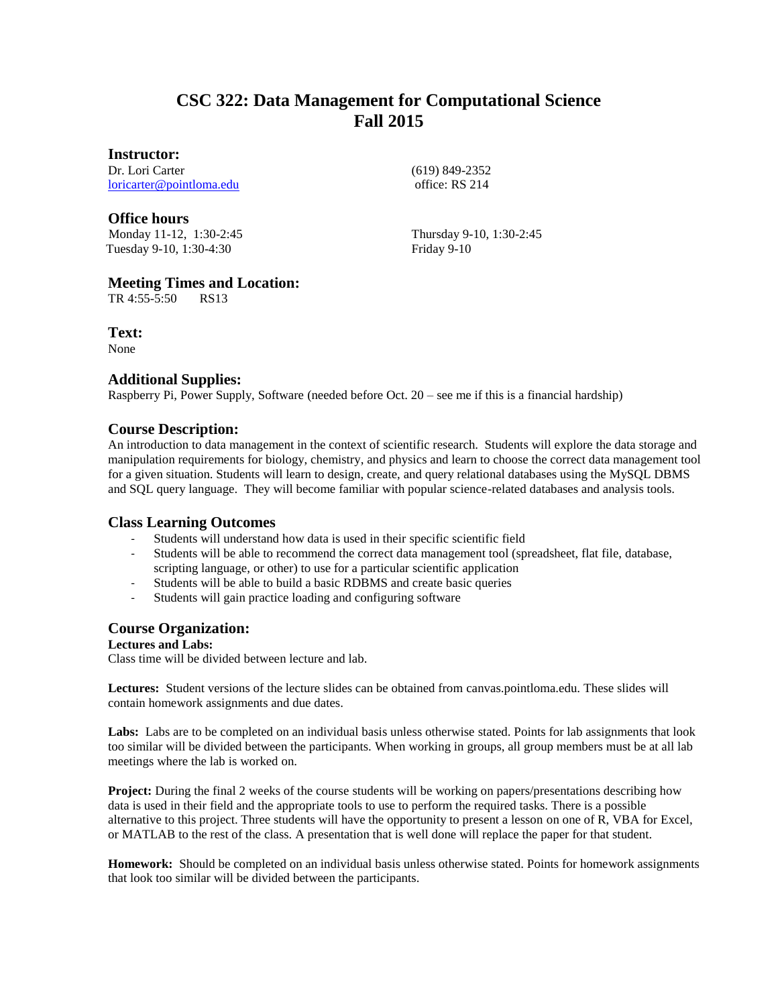# **CSC 322: Data Management for Computational Science Fall 2015**

#### **Instructor:**

Dr. Lori Carter [loricarter@pointloma.edu](mailto:loricarter@pointloma.edu)

# **Office hours**

Monday 11-12, 1:30-2:45 Tuesday 9-10, 1:30-4:30

(619) 849-2352 office: RS 214

Thursday 9-10, 1:30-2:45 Friday 9-10

# **Meeting Times and Location:**

TR 4:55-5:50 RS13

**Text:**

None

#### **Additional Supplies:**

Raspberry Pi, Power Supply, Software (needed before Oct. 20 – see me if this is a financial hardship)

# **Course Description:**

An introduction to data management in the context of scientific research. Students will explore the data storage and manipulation requirements for biology, chemistry, and physics and learn to choose the correct data management tool for a given situation. Students will learn to design, create, and query relational databases using the MySQL DBMS and SQL query language. They will become familiar with popular science-related databases and analysis tools.

#### **Class Learning Outcomes**

- Students will understand how data is used in their specific scientific field
- Students will be able to recommend the correct data management tool (spreadsheet, flat file, database, scripting language, or other) to use for a particular scientific application
- Students will be able to build a basic RDBMS and create basic queries
- Students will gain practice loading and configuring software

# **Course Organization:**

#### **Lectures and Labs:**

Class time will be divided between lecture and lab.

**Lectures:** Student versions of the lecture slides can be obtained from canvas.pointloma.edu. These slides will contain homework assignments and due dates.

Labs: Labs are to be completed on an individual basis unless otherwise stated. Points for lab assignments that look too similar will be divided between the participants. When working in groups, all group members must be at all lab meetings where the lab is worked on.

**Project:** During the final 2 weeks of the course students will be working on papers/presentations describing how data is used in their field and the appropriate tools to use to perform the required tasks. There is a possible alternative to this project. Three students will have the opportunity to present a lesson on one of R, VBA for Excel, or MATLAB to the rest of the class. A presentation that is well done will replace the paper for that student.

**Homework:** Should be completed on an individual basis unless otherwise stated. Points for homework assignments that look too similar will be divided between the participants.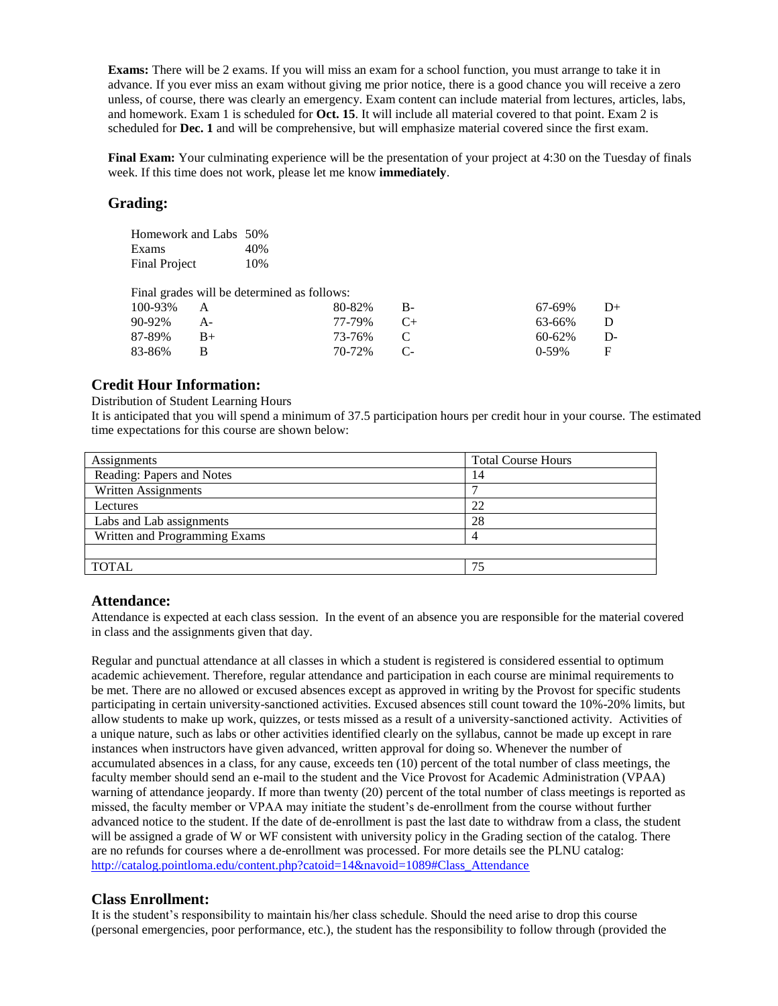**Exams:** There will be 2 exams. If you will miss an exam for a school function, you must arrange to take it in advance. If you ever miss an exam without giving me prior notice, there is a good chance you will receive a zero unless, of course, there was clearly an emergency. Exam content can include material from lectures, articles, labs, and homework. Exam 1 is scheduled for **Oct. 15**. It will include all material covered to that point. Exam 2 is scheduled for **Dec. 1** and will be comprehensive, but will emphasize material covered since the first exam.

**Final Exam:** Your culminating experience will be the presentation of your project at 4:30 on the Tuesday of finals week. If this time does not work, please let me know **immediately**.

## **Grading:**

| Homework and Labs 50% |     |
|-----------------------|-----|
| Exams                 | 40% |
| <b>Final Project</b>  | 10% |

Final grades will be determined as follows:

| 100-93% | $\overline{A}$ | $80-82\%$ B- | 67-69%     | $D+$         |
|---------|----------------|--------------|------------|--------------|
| 90-92%  | $A-$           | 77-79% C+    | 63-66% D   |              |
| 87-89%  | $B+$           | 73-76% C     | 60-62%     | $D-$         |
| 83-86%  |                | 70-72% C-    | $0 - 59\%$ | $\mathbf{F}$ |

# **Credit Hour Information:**

#### Distribution of Student Learning Hours

It is anticipated that you will spend a minimum of 37.5 participation hours per credit hour in your course. The estimated time expectations for this course are shown below:

| Assignments                   | <b>Total Course Hours</b> |
|-------------------------------|---------------------------|
| Reading: Papers and Notes     | 14                        |
| Written Assignments           |                           |
| Lectures                      | 22                        |
| Labs and Lab assignments      | 28                        |
| Written and Programming Exams |                           |
|                               |                           |
| <b>TOTAL</b>                  | 75                        |
|                               |                           |

#### **Attendance:**

Attendance is expected at each class session. In the event of an absence you are responsible for the material covered in class and the assignments given that day.

Regular and punctual attendance at all classes in which a student is registered is considered essential to optimum academic achievement. Therefore, regular attendance and participation in each course are minimal requirements to be met. There are no allowed or excused absences except as approved in writing by the Provost for specific students participating in certain university-sanctioned activities. Excused absences still count toward the 10%-20% limits, but allow students to make up work, quizzes, or tests missed as a result of a university-sanctioned activity. Activities of a unique nature, such as labs or other activities identified clearly on the syllabus, cannot be made up except in rare instances when instructors have given advanced, written approval for doing so. Whenever the number of accumulated absences in a class, for any cause, exceeds ten (10) percent of the total number of class meetings, the faculty member should send an e-mail to the student and the Vice Provost for Academic Administration (VPAA) warning of attendance jeopardy. If more than twenty (20) percent of the total number of class meetings is reported as missed, the faculty member or VPAA may initiate the student's de-enrollment from the course without further advanced notice to the student. If the date of de-enrollment is past the last date to withdraw from a class, the student will be assigned a grade of W or WF consistent with university policy in the Grading section of the catalog. There are no refunds for courses where a de-enrollment was processed. For more details see the PLNU catalog: [http://catalog.pointloma.edu/content.php?catoid=14&navoid=1089#Class\\_Attendance](http://catalog.pointloma.edu/content.php?catoid=14&navoid=1089#Class_Attendance)

# **Class Enrollment:**

It is the student's responsibility to maintain his/her class schedule. Should the need arise to drop this course (personal emergencies, poor performance, etc.), the student has the responsibility to follow through (provided the